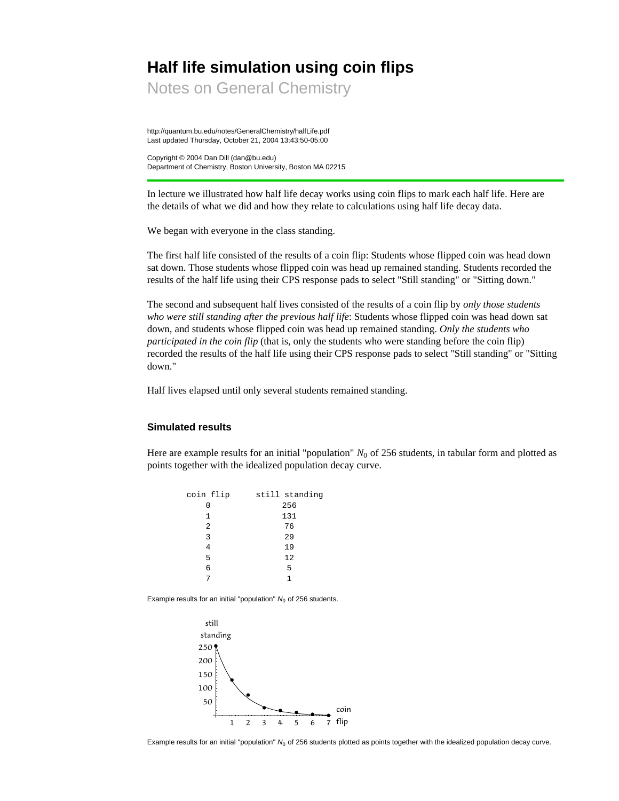# **Half life simulation using coin flips**

Notes on General Chemistry

http://quantum.bu.edu/notes/GeneralChemistry/halfLife.pdf Last updated Thursday, October 21, 2004 13:43:50-05:00

Copyright © 2004 Dan Dill (dan@bu.edu) Department of Chemistry, Boston University, Boston MA 02215

In lecture we illustrated how half life decay works using coin flips to mark each half life. Here are the details of what we did and how they relate to calculations using half life decay data.

We began with everyone in the class standing.

The first half life consisted of the results of a coin flip: Students whose flipped coin was head down sat down. Those students whose flipped coin was head up remained standing. Students recorded the results of the half life using their CPS response pads to select "Still standing" or "Sitting down."

The second and subsequent half lives consisted of the results of a coin flip by *only those students who were still standing after the previous half life*: Students whose flipped coin was head down sat down, and students whose flipped coin was head up remained standing. *Only the students who participated in the coin flip* (that is, only the students who were standing before the coin flip) recorded the results of the half life using their CPS response pads to select "Still standing" or "Sitting down."

Half lives elapsed until only several students remained standing.

## **Simulated results**

Here are example results for an initial "population"  $N_0$  of 256 students, in tabular form and plotted as points together with the idealized population decay curve.

| coin flip | still standing |
|-----------|----------------|
| O         | 256            |
| 1         | 131            |
| 2         | 76             |
| 3         | 29             |
| 4         | 19             |
| 5         | 12             |
| 6         | 5              |
|           |                |
|           |                |

Example results for an initial "population"  $N_0$  of 256 students.



Example results for an initial "population" *N*<sub>0</sub> of 256 students plotted as points together with the idealized population decay curve.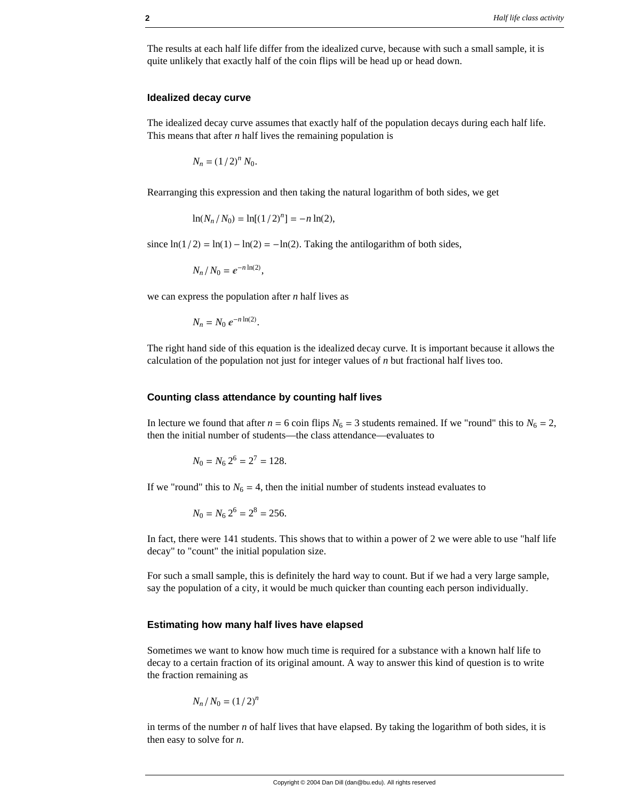The results at each half life differ from the idealized curve, because with such a small sample, it is quite unlikely that exactly half of the coin flips will be head up or head down.

### **Idealized decay curve**

The idealized decay curve assumes that exactly half of the population decays during each half life. This means that after *n* half lives the remaining population is

 $N_n = (1/2)^n N_0.$ 

Rearranging this expression and then taking the natural logarithm of both sides, we get

$$
\ln(N_n/N_0) = \ln[(1/2)^n] = -n\ln(2),
$$

since  $ln(1/2) = ln(1) - ln(2) = -ln(2)$ . Taking the antilogarithm of both sides,

 $N_n / N_0 = e^{-n \ln(2)},$ 

we can express the population after *n* half lives as

 $N_n = N_0 e^{-n \ln(2)}$ .

The right hand side of this equation is the idealized decay curve. It is important because it allows the calculation of the population not just for integer values of *n* but fractional half lives too.

#### **Counting class attendance by counting half lives**

In lecture we found that after  $n = 6$  coin flips  $N_6 = 3$  students remained. If we "round" this to  $N_6 = 2$ , then the initial number of students—the class attendance—evaluates to

$$
N_0 = N_6 2^6 = 2^7 = 128.
$$

If we "round" this to  $N_6 = 4$ , then the initial number of students instead evaluates to

$$
N_0 = N_6 2^6 = 2^8 = 256.
$$

In fact, there were 141 students. This shows that to within a power of 2 we were able to use "half life decay" to "count" the initial population size.

For such a small sample, this is definitely the hard way to count. But if we had a very large sample, say the population of a city, it would be much quicker than counting each person individually.

#### **Estimating how many half lives have elapsed**

Sometimes we want to know how much time is required for a substance with a known half life to decay to a certain fraction of its original amount. A way to answer this kind of question is to write the fraction remaining as

$$
N_n/N_0=(1/2)^n
$$

in terms of the number *n* of half lives that have elapsed. By taking the logarithm of both sides, it is then easy to solve for *n*.